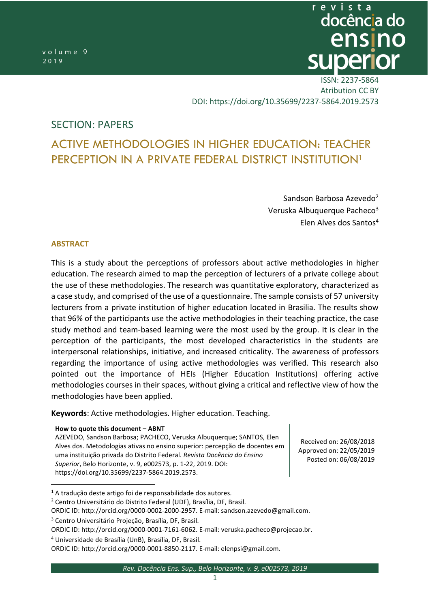revista docência do Active methodologies in higher education: document perception in a private institution in *Sandson Barbosa Azevedo, Veruska Alburquerque Pacheco, Elen Alves dos Santos*

> ISSN: 2237-5864 [Atribution](https://creativecommons.org/licenses/by/4.0/) CC BY DOI:<https://doi.org/10.35699/2237-5864.2019.2573>

# SECTION: PAPERS

# ACTIVE METHODOLOGIES IN HIGHER EDUCATION: TEACHER PERCEPTION IN A PRIVATE FEDERAL DISTRICT INSTITUTION<sup>1</sup>

Sandson Barbosa Azevedo<sup>2</sup> Veruska Albuquerque Pacheco<sup>3</sup> Elen Alves dos Santos<sup>4</sup>

#### **ABSTRACT**

 $\overline{a}$ 

This is a study about the perceptions of professors about active methodologies in higher education. The research aimed to map the perception of lecturers of a private college about the use of these methodologies. The research was quantitative exploratory, characterized as a case study, and comprised of the use of a questionnaire. The sample consists of 57 university lecturers from a private institution of higher education located in Brasilia. The results show that 96% of the participants use the active methodologies in their teaching practice, the case study method and team-based learning were the most used by the group. It is clear in the perception of the participants, the most developed characteristics in the students are interpersonal relationships, initiative, and increased criticality. The awareness of professors regarding the importance of using active methodologies was verified. This research also pointed out the importance of HEIs (Higher Education Institutions) offering active methodologies courses in their spaces, without giving a critical and reflective view of how the methodologies have been applied.

**Keywords**: Active methodologies. Higher education. Teaching.

**How to quote this document – ABNT**

AZEVEDO, Sandson Barbosa; PACHECO, Veruska Albuquerque; SANTOS, Elen Alves dos. Metodologias ativas no ensino superior: percepção de docentes em uma instituição privada do Distrito Federal. *Revista Docência do Ensino Superior*, Belo Horizonte, v. 9, e002573, p. 1-22, 2019. DOI: [https://doi.org/10.35699/2237-5864.2019.2573.](https://doi.org/10.35699/2237-5864.2019.2573)

Received on: 26/08/2018 Approved on: 22/05/2019 Posted on: 06/08/2019

<sup>2</sup> Centro Universitário do Distrito Federal (UDF), Brasília, DF, Brasil.

ORDIC ID: [http://orcid.org/0000-0002-2000-2957.](http://orcid.org/0000-0002-2000-2957) E-mail: [sandson.azevedo@gmail.com.](mailto:sandson.azevedo@gmail.com#_blank)

<sup>1</sup> A tradução deste artigo foi de responsabilidade dos autores.

<sup>3</sup> Centro Universitário Projeção, Brasília, DF, Brasil.

ORDIC ID: [http://orcid.org/0000-0001-7161-6062.](http://orcid.org/0000-0001-7161-6062) E-mail: [veruska.pacheco@projecao.br.](mailto:veruska.pacheco@projecao.br#_blank)

<sup>4</sup> Universidade de Brasília (UnB), Brasília, DF, Brasil.

ORDIC ID: [http://orcid.org/0000-0001-8850-2117.](http://orcid.org/0000-0001-8850-2117) E-mail: [elenpsi@gmail.com.](mailto:elenpsi@gmail.com)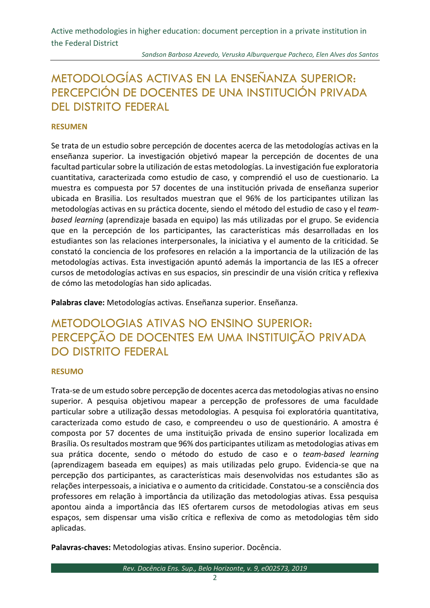# METODOLOGÍAS ACTIVAS EN LA ENSEÑANZA SUPERIOR: PERCEPCIÓN DE DOCENTES DE UNA INSTITUCIÓN PRIVADA DEL DISTRITO FEDERAL

### **RESUMEN**

Se trata de un estudio sobre percepción de docentes acerca de las metodologías activas en la enseñanza superior. La investigación objetivó mapear la percepción de docentes de una facultad particular sobre la utilización de estas metodologías. La investigación fue exploratoria cuantitativa, caracterizada como estudio de caso, y comprendió el uso de cuestionario. La muestra es compuesta por 57 docentes de una institución privada de enseñanza superior ubicada en Brasilia. Los resultados muestran que el 96% de los participantes utilizan las metodologías activas en su práctica docente, siendo el método del estudio de caso y el *teambased learning* (aprendizaje basada en equipo) las más utilizadas por el grupo. Se evidencia que en la percepción de los participantes, las características más desarrolladas en los estudiantes son las relaciones interpersonales, la iniciativa y el aumento de la criticidad. Se constató la conciencia de los profesores en relación a la importancia de la utilización de las metodologías activas. Esta investigación apuntó además la importancia de las IES a ofrecer cursos de metodologías activas en sus espacios, sin prescindir de una visión crítica y reflexiva de cómo las metodologías han sido aplicadas.

**Palabras clave:** Metodologías activas. Enseñanza superior. Enseñanza.

# METODOLOGIAS ATIVAS NO ENSINO SUPERIOR: PERCEPÇÃO DE DOCENTES EM UMA INSTITUIÇÃO PRIVADA DO DISTRITO FEDERAL

#### **RESUMO**

Trata-se de um estudo sobre percepção de docentes acerca das metodologias ativas no ensino superior. A pesquisa objetivou mapear a percepção de professores de uma faculdade particular sobre a utilização dessas metodologias. A pesquisa foi exploratória quantitativa, caracterizada como estudo de caso, e compreendeu o uso de questionário. A amostra é composta por 57 docentes de uma instituição privada de ensino superior localizada em Brasília. Os resultados mostram que 96% dos participantes utilizam as metodologias ativas em sua prática docente, sendo o método do estudo de caso e o *team-based learning* (aprendizagem baseada em equipes) as mais utilizadas pelo grupo. Evidencia-se que na percepção dos participantes, as características mais desenvolvidas nos estudantes são as relações interpessoais, a iniciativa e o aumento da criticidade. Constatou-se a consciência dos professores em relação à importância da utilização das metodologias ativas. Essa pesquisa apontou ainda a importância das IES ofertarem cursos de metodologias ativas em seus espaços, sem dispensar uma visão crítica e reflexiva de como as metodologias têm sido aplicadas.

**Palavras-chaves:** Metodologias ativas. Ensino superior. Docência.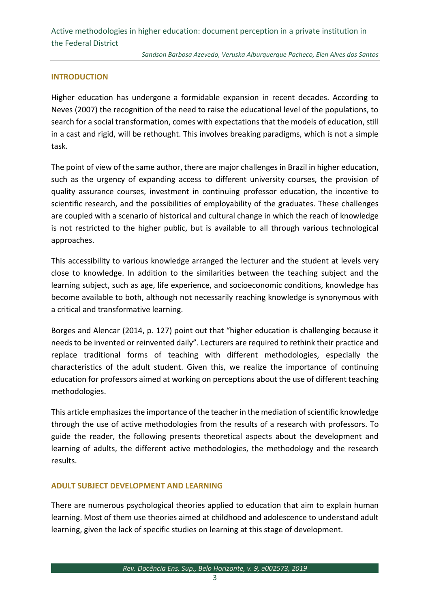#### **INTRODUCTION**

Higher education has undergone a formidable expansion in recent decades. According to Neves (2007) the recognition of the need to raise the educational level of the populations, to search for a social transformation, comes with expectations that the models of education, still in a cast and rigid, will be rethought. This involves breaking paradigms, which is not a simple task.

The point of view of the same author, there are major challenges in Brazil in higher education, such as the urgency of expanding access to different university courses, the provision of quality assurance courses, investment in continuing professor education, the incentive to scientific research, and the possibilities of employability of the graduates. These challenges are coupled with a scenario of historical and cultural change in which the reach of knowledge is not restricted to the higher public, but is available to all through various technological approaches.

This accessibility to various knowledge arranged the lecturer and the student at levels very close to knowledge. In addition to the similarities between the teaching subject and the learning subject, such as age, life experience, and socioeconomic conditions, knowledge has become available to both, although not necessarily reaching knowledge is synonymous with a critical and transformative learning.

Borges and Alencar (2014, p. 127) point out that "higher education is challenging because it needs to be invented or reinvented daily". Lecturers are required to rethink their practice and replace traditional forms of teaching with different methodologies, especially the characteristics of the adult student. Given this, we realize the importance of continuing education for professors aimed at working on perceptions about the use of different teaching methodologies.

This article emphasizes the importance of the teacher in the mediation of scientific knowledge through the use of active methodologies from the results of a research with professors. To guide the reader, the following presents theoretical aspects about the development and learning of adults, the different active methodologies, the methodology and the research results.

#### **ADULT SUBJECT DEVELOPMENT AND LEARNING**

There are numerous psychological theories applied to education that aim to explain human learning. Most of them use theories aimed at childhood and adolescence to understand adult learning, given the lack of specific studies on learning at this stage of development.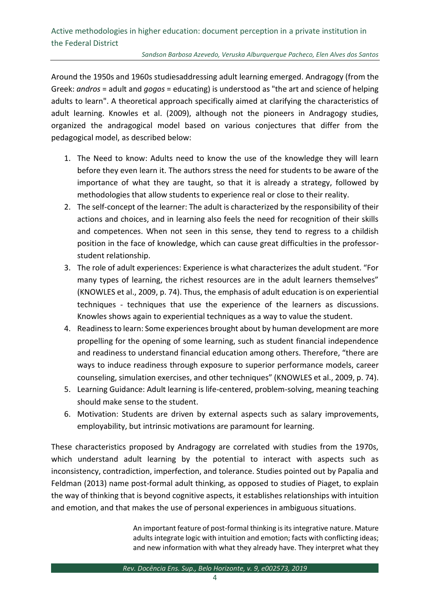Around the 1950s and 1960s studiesaddressing adult learning emerged. Andragogy (from the Greek: *andros* = adult and *gogos* = educating) is understood as "the art and science of helping adults to learn". A theoretical approach specifically aimed at clarifying the characteristics of adult learning. Knowles et al. (2009), although not the pioneers in Andragogy studies, organized the andragogical model based on various conjectures that differ from the pedagogical model, as described below:

- 1. The Need to know: Adults need to know the use of the knowledge they will learn before they even learn it. The authors stress the need for students to be aware of the importance of what they are taught, so that it is already a strategy, followed by methodologies that allow students to experience real or close to their reality.
- 2. The self-concept of the learner: The adult is characterized by the responsibility of their actions and choices, and in learning also feels the need for recognition of their skills and competences. When not seen in this sense, they tend to regress to a childish position in the face of knowledge, which can cause great difficulties in the professorstudent relationship.
- 3. The role of adult experiences: Experience is what characterizes the adult student. "For many types of learning, the richest resources are in the adult learners themselves" (KNOWLES et al., 2009, p. 74). Thus, the emphasis of adult education is on experiential techniques - techniques that use the experience of the learners as discussions. Knowles shows again to experiential techniques as a way to value the student.
- 4. Readiness to learn: Some experiences brought about by human development are more propelling for the opening of some learning, such as student financial independence and readiness to understand financial education among others. Therefore, "there are ways to induce readiness through exposure to superior performance models, career counseling, simulation exercises, and other techniques" (KNOWLES et al., 2009, p. 74).
- 5. Learning Guidance: Adult learning is life-centered, problem-solving, meaning teaching should make sense to the student.
- 6. Motivation: Students are driven by external aspects such as salary improvements, employability, but intrinsic motivations are paramount for learning.

These characteristics proposed by Andragogy are correlated with studies from the 1970s, which understand adult learning by the potential to interact with aspects such as inconsistency, contradiction, imperfection, and tolerance. Studies pointed out by Papalia and Feldman (2013) name post-formal adult thinking, as opposed to studies of Piaget, to explain the way of thinking that is beyond cognitive aspects, it establishes relationships with intuition and emotion, and that makes the use of personal experiences in ambiguous situations.

> An important feature of post-formal thinking is its integrative nature. Mature adults integrate logic with intuition and emotion; facts with conflicting ideas; and new information with what they already have. They interpret what they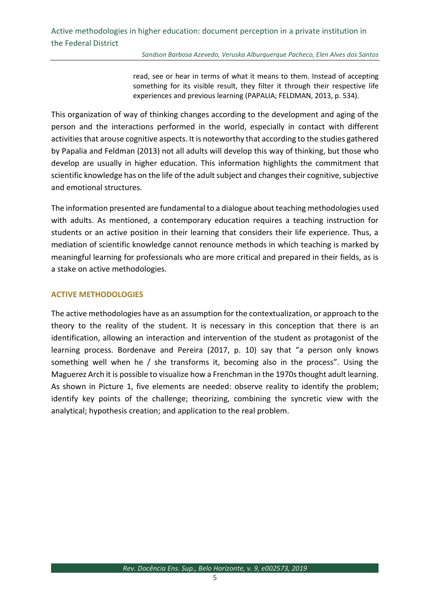read, see or hear in terms of what it means to them. Instead of accepting something for its visible result, they filter it through their respective life experiences and previous learning (PAPALIA; FELDMAN, 2013, p. 534).

This organization of way of thinking changes according to the development and aging of the person and the interactions performed in the world, especially in contact with different activities that arouse cognitive aspects. It is noteworthy that according to the studies gathered by Papalia and Feldman (2013) not all adults will develop this way of thinking, but those who develop are usually in higher education. This information highlights the commitment that scientific knowledge has on the life of the adult subject and changes their cognitive, subjective and emotional structures.

The information presented are fundamental to a dialogue about teaching methodologies used with adults. As mentioned, a contemporary education requires a teaching instruction for students or an active position in their learning that considers their life experience. Thus, a mediation of scientific knowledge cannot renounce methods in which teaching is marked by meaningful learning for professionals who are more critical and prepared in their fields, as is a stake on active methodologies.

#### **ACTIVE METHODOLOGIES**

The active methodologies have as an assumption for the contextualization, or approach to the theory to the reality of the student. It is necessary in this conception that there is an identification, allowing an interaction and intervention of the student as protagonist of the learning process. Bordenave and Pereira (2017, p. 10) say that "a person only knows something well when he / she transforms it, becoming also in the process". Using the Maguerez Arch it is possible to visualize how a Frenchman in the 1970s thought adult learning. As shown in Picture 1, five elements are needed: observe reality to identify the problem; identify key points of the challenge; theorizing, combining the syncretic view with the analytical; hypothesis creation; and application to the real problem.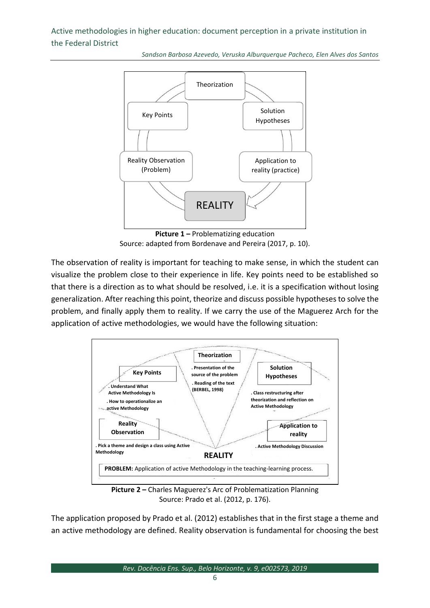*Sandson Barbosa Azevedo, Veruska Alburquerque Pacheco, Elen Alves dos Santos*



**Picture 1 –** Problematizing education Source: adapted from Bordenave and Pereira (2017, p. 10).

The observation of reality is important for teaching to make sense, in which the student can visualize the problem close to their experience in life. Key points need to be established so that there is a direction as to what should be resolved, i.e. it is a specification without losing generalization. After reaching this point, theorize and discuss possible hypotheses to solve the problem, and finally apply them to reality. If we carry the use of the Maguerez Arch for the application of active methodologies, we would have the following situation:



**Picture 2 –** Charles Maguerez's Arc of Problematization Planning Source: Prado et al. (2012, p. 176).

The application proposed by Prado et al. (2012) establishes that in the first stage a theme and an active methodology are defined. Reality observation is fundamental for choosing the best

*Rev. Docência Ens. Sup., Belo Horizonte, v. 9, e002573, 2019*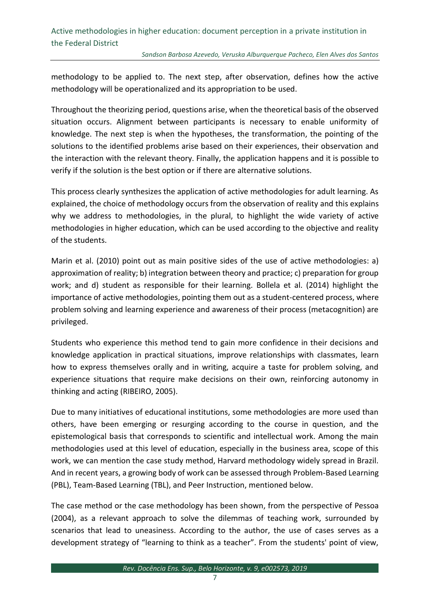methodology to be applied to. The next step, after observation, defines how the active methodology will be operationalized and its appropriation to be used.

Throughout the theorizing period, questions arise, when the theoretical basis of the observed situation occurs. Alignment between participants is necessary to enable uniformity of knowledge. The next step is when the hypotheses, the transformation, the pointing of the solutions to the identified problems arise based on their experiences, their observation and the interaction with the relevant theory. Finally, the application happens and it is possible to verify if the solution is the best option or if there are alternative solutions.

This process clearly synthesizes the application of active methodologies for adult learning. As explained, the choice of methodology occurs from the observation of reality and this explains why we address to methodologies, in the plural, to highlight the wide variety of active methodologies in higher education, which can be used according to the objective and reality of the students.

Marin et al. (2010) point out as main positive sides of the use of active methodologies: a) approximation of reality; b) integration between theory and practice; c) preparation for group work; and d) student as responsible for their learning. Bollela et al. (2014) highlight the importance of active methodologies, pointing them out as a student-centered process, where problem solving and learning experience and awareness of their process (metacognition) are privileged.

Students who experience this method tend to gain more confidence in their decisions and knowledge application in practical situations, improve relationships with classmates, learn how to express themselves orally and in writing, acquire a taste for problem solving, and experience situations that require make decisions on their own, reinforcing autonomy in thinking and acting (RIBEIRO, 2005).

Due to many initiatives of educational institutions, some methodologies are more used than others, have been emerging or resurging according to the course in question, and the epistemological basis that corresponds to scientific and intellectual work. Among the main methodologies used at this level of education, especially in the business area, scope of this work, we can mention the case study method, Harvard methodology widely spread in Brazil. And in recent years, a growing body of work can be assessed through Problem-Based Learning (PBL), Team-Based Learning (TBL), and Peer Instruction, mentioned below.

The case method or the case methodology has been shown, from the perspective of Pessoa (2004), as a relevant approach to solve the dilemmas of teaching work, surrounded by scenarios that lead to uneasiness. According to the author, the use of cases serves as a development strategy of "learning to think as a teacher". From the students' point of view,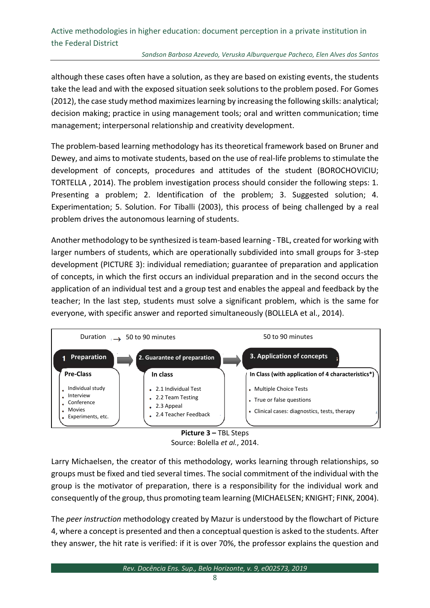#### *Sandson Barbosa Azevedo, Veruska Alburquerque Pacheco, Elen Alves dos Santos*

although these cases often have a solution, as they are based on existing events, the students take the lead and with the exposed situation seek solutions to the problem posed. For Gomes (2012), the case study method maximizes learning by increasing the following skills: analytical; decision making; practice in using management tools; oral and written communication; time management; interpersonal relationship and creativity development.

The problem-based learning methodology has its theoretical framework based on Bruner and Dewey, and aims to motivate students, based on the use of real-life problems to stimulate the development of concepts, procedures and attitudes of the student (BOROCHOVICIU; TORTELLA , 2014). The problem investigation process should consider the following steps: 1. Presenting a problem; 2. Identification of the problem; 3. Suggested solution; 4. Experimentation; 5. Solution. For Tiballi (2003), this process of being challenged by a real problem drives the autonomous learning of students.

Another methodology to be synthesized is team-based learning - TBL, created for working with larger numbers of students, which are operationally subdivided into small groups for 3-step development (PICTURE 3): individual remediation; guarantee of preparation and application of concepts, in which the first occurs an individual preparation and in the second occurs the application of an individual test and a group test and enables the appeal and feedback by the teacher; In the last step, students must solve a significant problem, which is the same for everyone, with specific answer and reported simultaneously (BOLLELA et al., 2014).





Larry Michaelsen, the creator of this methodology, works learning through relationships, so groups must be fixed and tied several times. The social commitment of the individual with the group is the motivator of preparation, there is a responsibility for the individual work and consequently of the group, thus promoting team learning (MICHAELSEN; KNIGHT; FINK, 2004).

The *peer instruction* methodology created by Mazur is understood by the flowchart of Picture 4, where a concept is presented and then a conceptual question is asked to the students. After they answer, the hit rate is verified: if it is over 70%, the professor explains the question and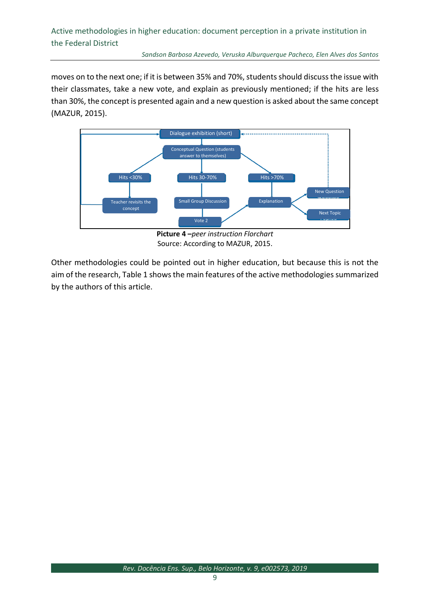moves on to the next one; if it is between 35% and 70%, students should discuss the issue with their classmates, take a new vote, and explain as previously mentioned; if the hits are less than 30%, the concept is presented again and a new question is asked about the same concept (MAZUR, 2015).



**Picture 4 –***peer instruction Florchart* Source: According to MAZUR, 2015.

Other methodologies could be pointed out in higher education, but because this is not the aim of the research, Table 1 shows the main features of the active methodologies summarized by the authors of this article.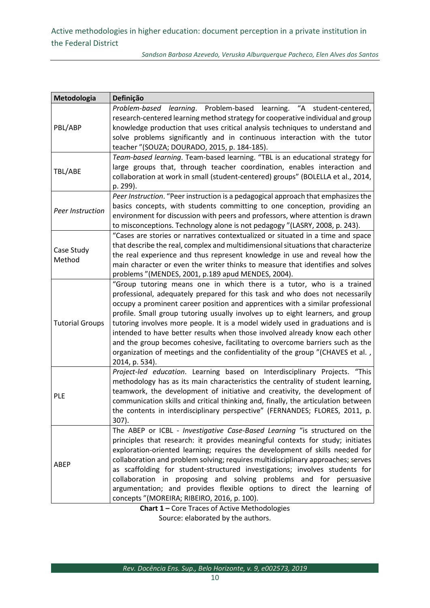| Metodologia            | Definição                                                                                                                                                     |
|------------------------|---------------------------------------------------------------------------------------------------------------------------------------------------------------|
| PBL/ABP                | Problem-based learning. Problem-based learning. "A student-centered,                                                                                          |
|                        | research-centered learning method strategy for cooperative individual and group                                                                               |
|                        | knowledge production that uses critical analysis techniques to understand and                                                                                 |
|                        | solve problems significantly and in continuous interaction with the tutor                                                                                     |
|                        | teacher "(SOUZA; DOURADO, 2015, p. 184-185).                                                                                                                  |
| TBL/ABE                | Team-based learning. Team-based learning. "TBL is an educational strategy for                                                                                 |
|                        | large groups that, through teacher coordination, enables interaction and                                                                                      |
|                        | collaboration at work in small (student-centered) groups" (BOLELLA et al., 2014,                                                                              |
|                        | p. 299).                                                                                                                                                      |
| Peer Instruction       | Peer Instruction. "Peer instruction is a pedagogical approach that emphasizes the                                                                             |
|                        | basics concepts, with students committing to one conception, providing an                                                                                     |
|                        | environment for discussion with peers and professors, where attention is drawn<br>to misconceptions. Technology alone is not pedagogy "(LASRY, 2008, p. 243). |
|                        | "Cases are stories or narratives contextualized or situated in a time and space                                                                               |
| Case Study<br>Method   | that describe the real, complex and multidimensional situations that characterize                                                                             |
|                        | the real experience and thus represent knowledge in use and reveal how the                                                                                    |
|                        | main character or even the writer thinks to measure that identifies and solves                                                                                |
|                        | problems "(MENDES, 2001, p.189 apud MENDES, 2004).                                                                                                            |
| <b>Tutorial Groups</b> | "Group tutoring means one in which there is a tutor, who is a trained                                                                                         |
|                        | professional, adequately prepared for this task and who does not necessarily                                                                                  |
|                        | occupy a prominent career position and apprentices with a similar professional                                                                                |
|                        | profile. Small group tutoring usually involves up to eight learners, and group                                                                                |
|                        | tutoring involves more people. It is a model widely used in graduations and is                                                                                |
|                        | intended to have better results when those involved already know each other                                                                                   |
|                        | and the group becomes cohesive, facilitating to overcome barriers such as the                                                                                 |
|                        | organization of meetings and the confidentiality of the group "(CHAVES et al.,                                                                                |
|                        | 2014, p. 534).                                                                                                                                                |
| <b>PLE</b>             | Project-led education. Learning based on Interdisciplinary Projects. "This<br>methodology has as its main characteristics the centrality of student learning, |
|                        | teamwork, the development of initiative and creativity, the development of                                                                                    |
|                        | communication skills and critical thinking and, finally, the articulation between                                                                             |
|                        | the contents in interdisciplinary perspective" (FERNANDES; FLORES, 2011, p.                                                                                   |
|                        | 307).                                                                                                                                                         |
| ABEP                   | The ABEP or ICBL - Investigative Case-Based Learning "is structured on the                                                                                    |
|                        | principles that research: it provides meaningful contexts for study; initiates                                                                                |
|                        | exploration-oriented learning; requires the development of skills needed for                                                                                  |
|                        | collaboration and problem solving; requires multidisciplinary approaches; serves                                                                              |
|                        | as scaffolding for student-structured investigations; involves students for                                                                                   |
|                        | collaboration in proposing and solving problems and for persuasive                                                                                            |
|                        | argumentation; and provides flexible options to direct the learning of                                                                                        |
|                        | concepts "(MOREIRA; RIBEIRO, 2016, p. 100).                                                                                                                   |

**Chart 1 –** Core Traces of Active Methodologies Source: elaborated by the authors.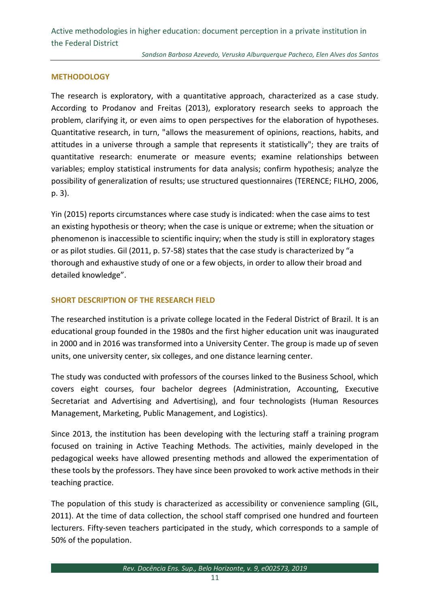#### **METHODOLOGY**

The research is exploratory, with a quantitative approach, characterized as a case study. According to Prodanov and Freitas (2013), exploratory research seeks to approach the problem, clarifying it, or even aims to open perspectives for the elaboration of hypotheses. Quantitative research, in turn, "allows the measurement of opinions, reactions, habits, and attitudes in a universe through a sample that represents it statistically"; they are traits of quantitative research: enumerate or measure events; examine relationships between variables; employ statistical instruments for data analysis; confirm hypothesis; analyze the possibility of generalization of results; use structured questionnaires (TERENCE; FILHO, 2006, p. 3).

Yin (2015) reports circumstances where case study is indicated: when the case aims to test an existing hypothesis or theory; when the case is unique or extreme; when the situation or phenomenon is inaccessible to scientific inquiry; when the study is still in exploratory stages or as pilot studies. Gil (2011, p. 57-58) states that the case study is characterized by "a thorough and exhaustive study of one or a few objects, in order to allow their broad and detailed knowledge".

### **SHORT DESCRIPTION OF THE RESEARCH FIELD**

The researched institution is a private college located in the Federal District of Brazil. It is an educational group founded in the 1980s and the first higher education unit was inaugurated in 2000 and in 2016 was transformed into a University Center. The group is made up of seven units, one university center, six colleges, and one distance learning center.

The study was conducted with professors of the courses linked to the Business School, which covers eight courses, four bachelor degrees (Administration, Accounting, Executive Secretariat and Advertising and Advertising), and four technologists (Human Resources Management, Marketing, Public Management, and Logistics).

Since 2013, the institution has been developing with the lecturing staff a training program focused on training in Active Teaching Methods. The activities, mainly developed in the pedagogical weeks have allowed presenting methods and allowed the experimentation of these tools by the professors. They have since been provoked to work active methods in their teaching practice.

The population of this study is characterized as accessibility or convenience sampling (GIL, 2011). At the time of data collection, the school staff comprised one hundred and fourteen lecturers. Fifty-seven teachers participated in the study, which corresponds to a sample of 50% of the population.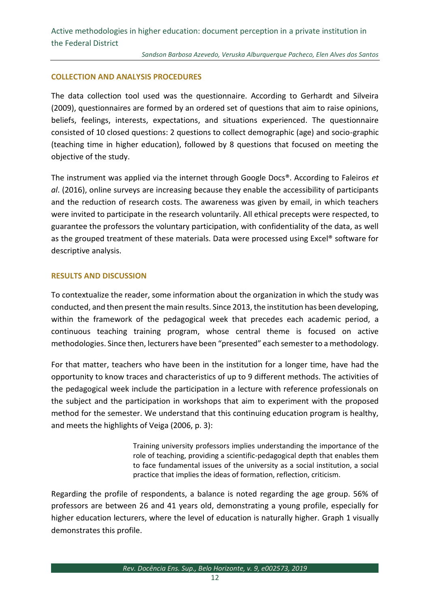#### **COLLECTION AND ANALYSIS PROCEDURES**

The data collection tool used was the questionnaire. According to Gerhardt and Silveira (2009), questionnaires are formed by an ordered set of questions that aim to raise opinions, beliefs, feelings, interests, expectations, and situations experienced. The questionnaire consisted of 10 closed questions: 2 questions to collect demographic (age) and socio-graphic (teaching time in higher education), followed by 8 questions that focused on meeting the objective of the study.

The instrument was applied via the internet through Google Docs®. According to Faleiros *et al*. (2016), online surveys are increasing because they enable the accessibility of participants and the reduction of research costs. The awareness was given by email, in which teachers were invited to participate in the research voluntarily. All ethical precepts were respected, to guarantee the professors the voluntary participation, with confidentiality of the data, as well as the grouped treatment of these materials. Data were processed using Excel® software for descriptive analysis.

#### **RESULTS AND DISCUSSION**

To contextualize the reader, some information about the organization in which the study was conducted, and then present the main results. Since 2013, the institution has been developing, within the framework of the pedagogical week that precedes each academic period, a continuous teaching training program, whose central theme is focused on active methodologies. Since then, lecturers have been "presented" each semester to a methodology.

For that matter, teachers who have been in the institution for a longer time, have had the opportunity to know traces and characteristics of up to 9 different methods. The activities of the pedagogical week include the participation in a lecture with reference professionals on the subject and the participation in workshops that aim to experiment with the proposed method for the semester. We understand that this continuing education program is healthy, and meets the highlights of Veiga (2006, p. 3):

> Training university professors implies understanding the importance of the role of teaching, providing a scientific-pedagogical depth that enables them to face fundamental issues of the university as a social institution, a social practice that implies the ideas of formation, reflection, criticism.

Regarding the profile of respondents, a balance is noted regarding the age group. 56% of professors are between 26 and 41 years old, demonstrating a young profile, especially for higher education lecturers, where the level of education is naturally higher. Graph 1 visually demonstrates this profile.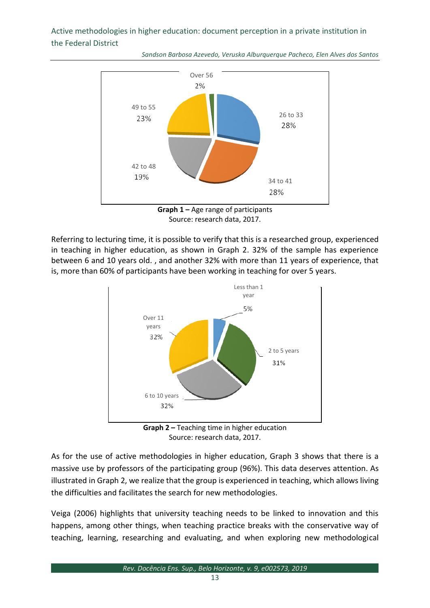



**Graph 1 –** Age range of participants Source: research data, 2017.

Referring to lecturing time, it is possible to verify that this is a researched group, experienced in teaching in higher education, as shown in Graph 2. 32% of the sample has experience between 6 and 10 years old. , and another 32% with more than 11 years of experience, that is, more than 60% of participants have been working in teaching for over 5 years.



Source: research data, 2017.

As for the use of active methodologies in higher education, Graph 3 shows that there is a massive use by professors of the participating group (96%). This data deserves attention. As illustrated in Graph 2, we realize that the group is experienced in teaching, which allows living the difficulties and facilitates the search for new methodologies.

Veiga (2006) highlights that university teaching needs to be linked to innovation and this happens, among other things, when teaching practice breaks with the conservative way of teaching, learning, researching and evaluating, and when exploring new methodological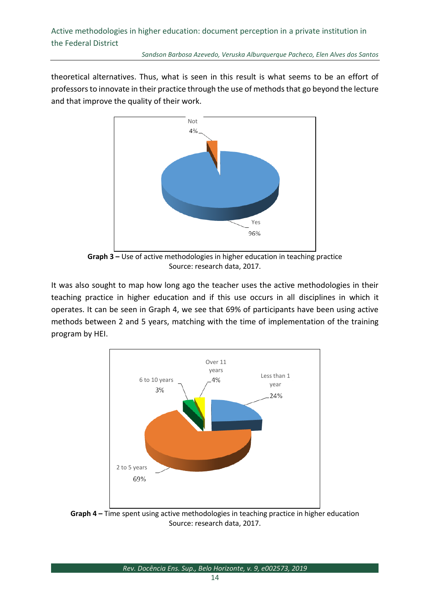theoretical alternatives. Thus, what is seen in this result is what seems to be an effort of professors to innovate in their practice through the use of methods that go beyond the lecture and that improve the quality of their work.



**Graph 3 –** Use of active methodologies in higher education in teaching practice Source: research data, 2017.

It was also sought to map how long ago the teacher uses the active methodologies in their teaching practice in higher education and if this use occurs in all disciplines in which it operates. It can be seen in Graph 4, we see that 69% of participants have been using active methods between 2 and 5 years, matching with the time of implementation of the training program by HEI.



**Graph 4 –** Time spent using active methodologies in teaching practice in higher education Source: research data, 2017.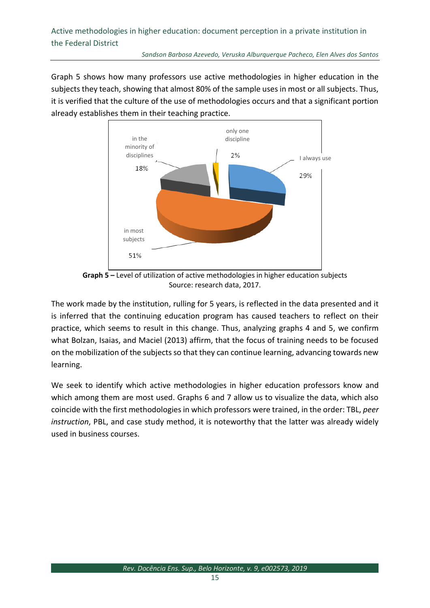Graph 5 shows how many professors use active methodologies in higher education in the subjects they teach, showing that almost 80% of the sample uses in most or all subjects. Thus, it is verified that the culture of the use of methodologies occurs and that a significant portion already establishes them in their teaching practice.



**Graph 5 –** Level of utilization of active methodologies in higher education subjects Source: research data, 2017.

The work made by the institution, rulling for 5 years, is reflected in the data presented and it is inferred that the continuing education program has caused teachers to reflect on their practice, which seems to result in this change. Thus, analyzing graphs 4 and 5, we confirm what Bolzan, Isaias, and Maciel (2013) affirm, that the focus of training needs to be focused on the mobilization of the subjects so that they can continue learning, advancing towards new learning.

We seek to identify which active methodologies in higher education professors know and which among them are most used. Graphs 6 and 7 allow us to visualize the data, which also coincide with the first methodologies in which professors were trained, in the order: TBL, *peer instruction*, PBL, and case study method, it is noteworthy that the latter was already widely used in business courses.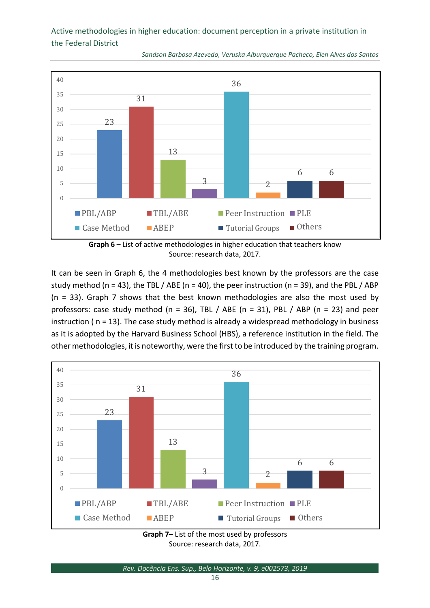

*Sandson Barbosa Azevedo, Veruska Alburquerque Pacheco, Elen Alves dos Santos*

**Graph 6 –** List of active methodologies in higher education that teachers know Source: research data, 2017.

It can be seen in Graph 6, the 4 methodologies best known by the professors are the case study method (n = 43), the TBL / ABE (n = 40), the peer instruction (n = 39), and the PBL / ABP (n = 33). Graph 7 shows that the best known methodologies are also the most used by professors: case study method (n = 36), TBL / ABE (n = 31), PBL / ABP (n = 23) and peer instruction ( n = 13). The case study method is already a widespread methodology in business as it is adopted by the Harvard Business School (HBS), a reference institution in the field. The other methodologies, it is noteworthy, were the first to be introduced by the training program.



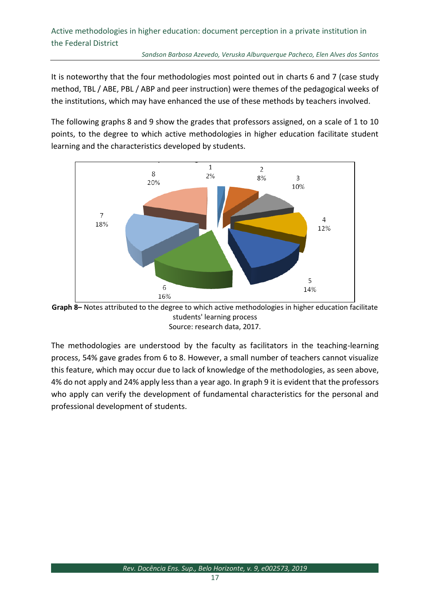It is noteworthy that the four methodologies most pointed out in charts 6 and 7 (case study method, TBL / ABE, PBL / ABP and peer instruction) were themes of the pedagogical weeks of the institutions, which may have enhanced the use of these methods by teachers involved.

The following graphs 8 and 9 show the grades that professors assigned, on a scale of 1 to 10 points, to the degree to which active methodologies in higher education facilitate student learning and the characteristics developed by students.





The methodologies are understood by the faculty as facilitators in the teaching-learning process, 54% gave grades from 6 to 8. However, a small number of teachers cannot visualize this feature, which may occur due to lack of knowledge of the methodologies, as seen above, 4% do not apply and 24% apply less than a year ago. In graph 9 it is evident that the professors who apply can verify the development of fundamental characteristics for the personal and professional development of students.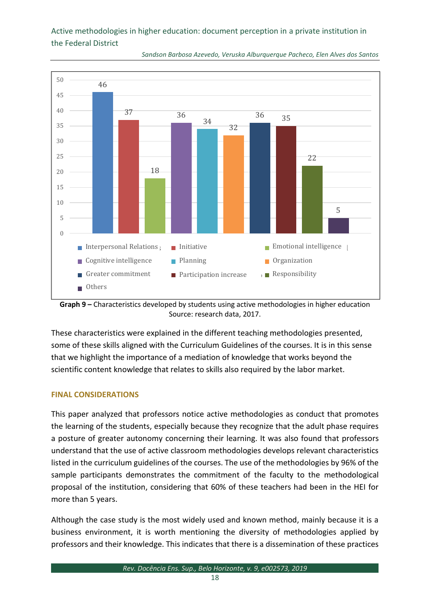

*Sandson Barbosa Azevedo, Veruska Alburquerque Pacheco, Elen Alves dos Santos*

**Graph 9 –** Characteristics developed by students using active methodologies in higher education Source: research data, 2017.

These characteristics were explained in the different teaching methodologies presented, some of these skills aligned with the Curriculum Guidelines of the courses. It is in this sense that we highlight the importance of a mediation of knowledge that works beyond the scientific content knowledge that relates to skills also required by the labor market.

#### **FINAL CONSIDERATIONS**

This paper analyzed that professors notice active methodologies as conduct that promotes the learning of the students, especially because they recognize that the adult phase requires a posture of greater autonomy concerning their learning. It was also found that professors understand that the use of active classroom methodologies develops relevant characteristics listed in the curriculum guidelines of the courses. The use of the methodologies by 96% of the sample participants demonstrates the commitment of the faculty to the methodological proposal of the institution, considering that 60% of these teachers had been in the HEI for more than 5 years.

Although the case study is the most widely used and known method, mainly because it is a business environment, it is worth mentioning the diversity of methodologies applied by professors and their knowledge. This indicates that there is a dissemination of these practices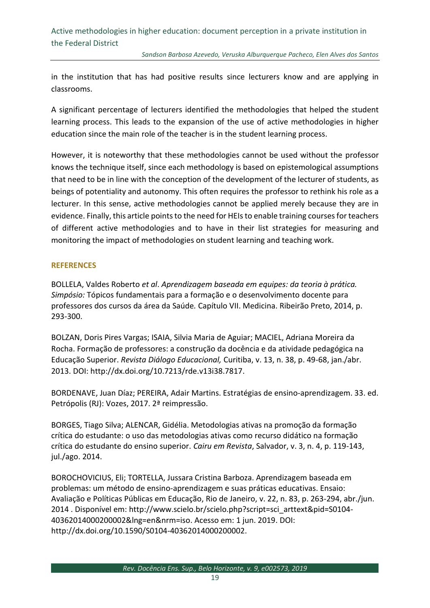in the institution that has had positive results since lecturers know and are applying in classrooms.

A significant percentage of lecturers identified the methodologies that helped the student learning process. This leads to the expansion of the use of active methodologies in higher education since the main role of the teacher is in the student learning process.

However, it is noteworthy that these methodologies cannot be used without the professor knows the technique itself, since each methodology is based on epistemological assumptions that need to be in line with the conception of the development of the lecturer of students, as beings of potentiality and autonomy. This often requires the professor to rethink his role as a lecturer. In this sense, active methodologies cannot be applied merely because they are in evidence. Finally, this article points to the need for HEIs to enable training courses for teachers of different active methodologies and to have in their list strategies for measuring and monitoring the impact of methodologies on student learning and teaching work.

#### **REFERENCES**

BOLLELA, Valdes Roberto *et al*. *Aprendizagem baseada em equipes: da teoria à prática. Simpósio:* Tópicos fundamentais para a formação e o desenvolvimento docente para professores dos cursos da área da Saúde*.* Capítulo VII. Medicina. Ribeirão Preto, 2014, p. 293-300.

BOLZAN, Doris Pires Vargas; ISAIA, Silvia Maria de Aguiar; MACIEL, Adriana Moreira da Rocha. Formação de professores: a construção da docência e da atividade pedagógica na Educação Superior. *Revista Diálogo Educacional,* Curitiba, v. 13, n. 38, p. 49-68, jan./abr. 2013. DOI: [http://dx.doi.org/10.7213/rde.v13i38.7817.](http://dx.doi.org/10.7213/rde.v13i38.7817)

BORDENAVE, Juan Díaz; PEREIRA, Adair Martins. Estratégias de ensino-aprendizagem. 33. ed. Petrópolis (RJ): Vozes, 2017. 2ª reimpressão.

BORGES, Tiago Silva; ALENCAR, Gidélia. Metodologias ativas na promoção da formação crítica do estudante: o uso das metodologias ativas como recurso didático na formação crítica do estudante do ensino superior. *Cairu em Revista*, Salvador, v. 3, n. 4, p. 119-143, jul./ago. 2014.

BOROCHOVICIUS, Eli; TORTELLA, Jussara Cristina Barboza. Aprendizagem baseada em problemas: um método de ensino-aprendizagem e suas práticas educativas. Ensaio: Avaliação e Políticas Públicas em Educação, Rio de Janeiro, v. 22, n. 83, p. 263-294, abr./jun. 2014 . Disponível em: [http://www.scielo.br/scielo.php?script=sci\\_arttext&pid=S0104-](http://www.scielo.br/scielo.php?script=sci_arttext&pid=S0104-40362014000200002&lng=en&nrm=iso) [40362014000200002&lng=en&nrm=iso.](http://www.scielo.br/scielo.php?script=sci_arttext&pid=S0104-40362014000200002&lng=en&nrm=iso) Acesso em: 1 jun. 2019. DOI: [http://dx.doi.org/10.1590/S0104-40362014000200002.](http://dx.doi.org/10.1590/S0104-40362014000200002)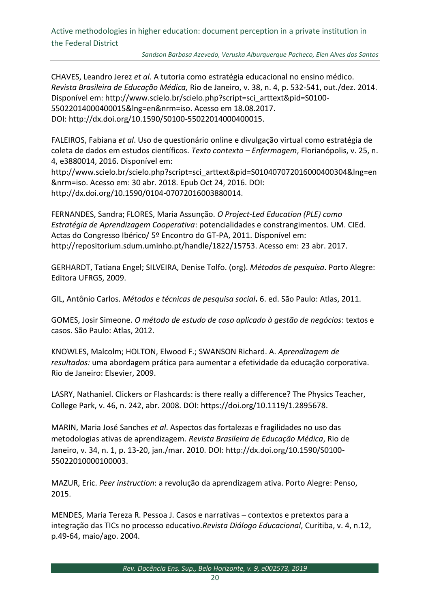*Sandson Barbosa Azevedo, Veruska Alburquerque Pacheco, Elen Alves dos Santos*

CHAVES, Leandro Jerez *et al*. A tutoria como estratégia educacional no ensino médico. *Revista Brasileira de Educação Médica,* Rio de Janeiro, v. 38, n. 4, p. 532-541, out./dez. 2014. Disponível em: http://www.scielo.br/scielo.php?script=sci\_arttext&pid=S0100- 55022014000400015&lng=en&nrm=iso. Acesso em 18.08.2017. DOI: [http://dx.doi.org/10.1590/S0100-55022014000400015.](http://dx.doi.org/10.1590/S0100-55022014000400015)

FALEIROS, Fabiana *et al*. Uso de questionário online e divulgação virtual como estratégia de coleta de dados em estudos científicos. *Texto contexto – Enfermagem*, Florianópolis, v. 25, n. 4, e3880014, 2016. Disponível em:

http://www.scielo.br/scielo.php?script=sci\_arttext&pid=S010407072016000400304&lng=en &nrm=iso. Acesso em: 30 abr. 2018. Epub Oct 24, 2016. DOI: http://dx.doi.org/10.1590/0104-07072016003880014.

FERNANDES, Sandra; FLORES, Maria Assunção. *O Project-Led Education (PLE) como Estratégia de Aprendizagem Cooperativa*: potencialidades e constrangimentos. UM. CIEd. Actas do Congresso Ibérico/ 5º Encontro do GT-PA, 2011. Disponível em: http://repositorium.sdum.uminho.pt/handle/1822/15753. Acesso em: 23 abr. 2017.

GERHARDT, Tatiana Engel; SILVEIRA, Denise Tolfo. (org). *Métodos de pesquisa*. Porto Alegre: Editora UFRGS, 2009.

GIL, Antônio Carlos. *Métodos e técnicas de pesquisa social***.** 6. ed. São Paulo: Atlas, 2011.

GOMES, Josir Simeone. *O método de estudo de caso aplicado à gestão de negócios*: textos e casos. São Paulo: Atlas, 2012.

KNOWLES, Malcolm; HOLTON, Elwood F.; SWANSON Richard. A. *Aprendizagem de resultados:* uma abordagem prática para aumentar a efetividade da educação corporativa. Rio de Janeiro: Elsevier, 2009.

LASRY, Nathaniel. Clickers or Flashcards: is there really a difference? The Physics Teacher, College Park, v. 46, n. 242, abr. 2008. DOI: [https://doi.org/10.1119/1.2895678.](https://doi.org/10.1119/1.2895678)

MARIN, Maria José Sanches *et al*. Aspectos das fortalezas e fragilidades no uso das metodologias ativas de aprendizagem. *Revista Brasileira de Educação Médica*, Rio de Janeiro, v. 34, n. 1, p. 13-20, jan./mar. 2010. DOI: [http://dx.doi.org/10.1590/S0100-](http://dx.doi.org/10.1590/S0100-55022010000100003) [55022010000100003.](http://dx.doi.org/10.1590/S0100-55022010000100003)

MAZUR, Eric. *Peer instruction*: a revolução da aprendizagem ativa. Porto Alegre: Penso, 2015.

MENDES, Maria Tereza R. Pessoa J. Casos e narrativas – contextos e pretextos para a integração das TICs no processo educativo.*Revista Diálogo Educacional*, Curitiba, v. 4, n.12, p.49-64, maio/ago. 2004.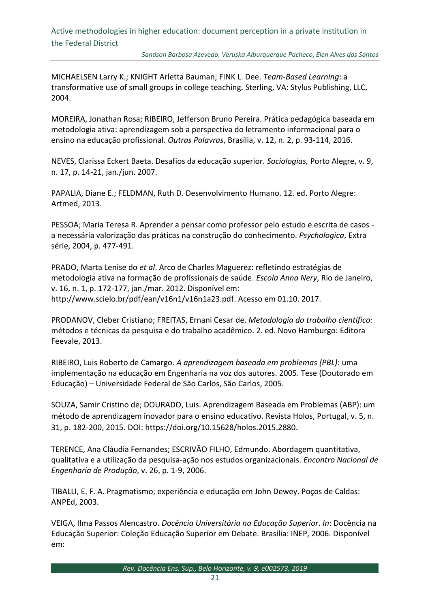MICHAELSEN Larry K.; KNIGHT Arletta Bauman; FINK L. Dee. *Team-Based Learning*: a transformative use of small groups in college teaching. Sterling, VA: Stylus Publishing, LLC, 2004.

MOREIRA, Jonathan Rosa; RIBEIRO, Jefferson Bruno Pereira. Prática pedagógica baseada em metodologia ativa: aprendizagem sob a perspectiva do letramento informacional para o ensino na educação profissional*. Outras Palavras*, Brasília, v. 12, n. 2, p. 93-114, 2016.

NEVES, Clarissa Eckert Baeta. Desafios da educação superior. *Sociologias,* Porto Alegre, v. 9, n. 17, p. 14-21, jan./jun. 2007.

PAPALIA, Diane E.; FELDMAN, Ruth D. Desenvolvimento Humano. 12. ed. Porto Alegre: Artmed, 2013.

PESSOA; Maria Teresa R. Aprender a pensar como professor pelo estudo e escrita de casos a necessária valorização das práticas na construção do conhecimento. *Psychologica*, Extra série, 2004, p. 477-491.

PRADO, Marta Lenise do *et al*. Arco de Charles Maguerez: refletindo estratégias de metodologia ativa na formação de profissionais de saúde. *Escola Anna Nery*, Rio de Janeiro, v. 16, n. 1, p. 172-177, jan./mar. 2012. Disponível em: [http://www.scielo.br/pdf/ean/v16n1/v16n1a23.pdf.](http://www.scielo.br/pdf/ean/v16n1/v16n1a23.pdf) Acesso em 01.10. 2017.

PRODANOV, Cleber Cristiano; FREITAS, Ernani Cesar de. *Metodologia do trabalho científico:*  métodos e técnicas da pesquisa e do trabalho acadêmico. 2. ed. Novo Hamburgo: Editora Feevale, 2013.

RIBEIRO, Luis Roberto de Camargo. *A aprendizagem baseada em problemas (PBL)*: uma implementação na educação em Engenharia na voz dos autores. 2005. Tese (Doutorado em Educação) – Universidade Federal de São Carlos, São Carlos, 2005.

SOUZA, Samir Cristino de; DOURADO, Luis. Aprendizagem Baseada em Problemas (ABP): um método de aprendizagem inovador para o ensino educativo. Revista Holos, Portugal, v. 5, n. 31, p. 182-200, 2015. DOI: [https://doi.org/10.15628/holos.2015.2880.](https://doi.org/10.15628/holos.2015.2880)

TERENCE, Ana Cláudia Fernandes; ESCRIVÃO FILHO, Edmundo. Abordagem quantitativa, qualitativa e a utilização da pesquisa-ação nos estudos organizacionais. *Encontro Nacional de Engenharia de Produção*, v. 26, p. 1-9, 2006.

TIBALLI, E. F. A. Pragmatismo, experiência e educação em John Dewey. Poços de Caldas: ANPEd, 2003.

VEIGA, Ilma Passos Alencastro. *Docência Universitária na Educação Superior*. *In*: Docência na Educação Superior: Coleção Educação Superior em Debate. Brasília: INEP, 2006. Disponível em: